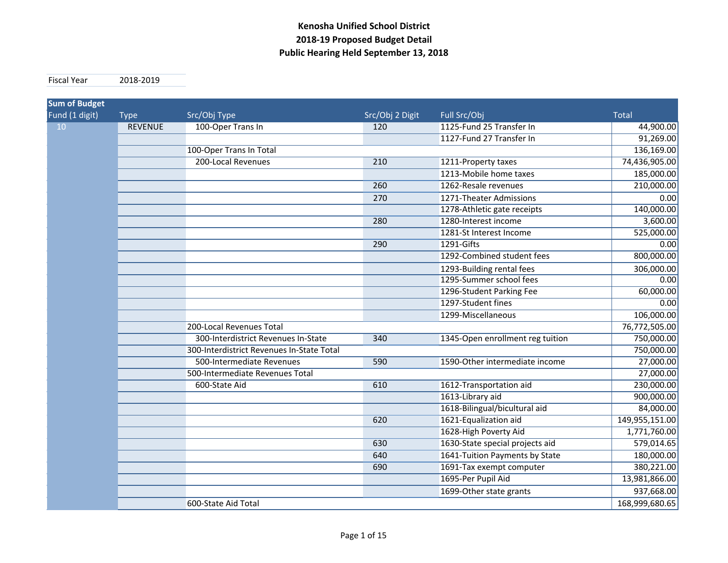**Fiscal Year** Year 2018‐2019

| Fund (1 digit)<br>Src/Obj Type<br>Src/Obj 2 Digit<br>Full Src/Obj<br><b>Total</b><br><b>Type</b><br>1125-Fund 25 Transfer In<br>10<br><b>REVENUE</b><br>100-Oper Trans In<br>120<br>44,900.00<br>1127-Fund 27 Transfer In<br>136,169.00<br>100-Oper Trans In Total<br>200-Local Revenues<br>74,436,905.00<br>210<br>1211-Property taxes<br>1213-Mobile home taxes<br>185,000.00<br>210,000.00<br>260<br>1262-Resale revenues<br>270<br>1271-Theater Admissions<br>0.00<br>1278-Athletic gate receipts<br>140,000.00<br>1280-Interest income<br>3,600.00<br>280<br>525,000.00<br>1281-St Interest Income<br>290<br>1291-Gifts<br>0.00<br>800,000.00<br>1292-Combined student fees<br>306,000.00<br>1293-Building rental fees<br>1295-Summer school fees<br>0.00<br>60,000.00<br>1296-Student Parking Fee<br>1297-Student fines<br>0.00<br>1299-Miscellaneous<br>106,000.00<br>200-Local Revenues Total<br>76,772,505.00<br>750,000.00<br>300-Interdistrict Revenues In-State<br>340<br>1345-Open enrollment reg tuition<br>750,000.00<br>300-Interdistrict Revenues In-State Total<br>500-Intermediate Revenues<br>1590-Other intermediate income<br>27,000.00<br>590<br>27,000.00<br>500-Intermediate Revenues Total<br>230,000.00<br>1612-Transportation aid<br>610<br>600-State Aid<br>900,000.00<br>1613-Library aid<br>84,000.00<br>1618-Bilingual/bicultural aid<br>1621-Equalization aid<br>149,955,151.00<br>620<br>1628-High Poverty Aid<br>1,771,760.00<br>1630-State special projects aid<br>579,014.65<br>630<br>1641-Tuition Payments by State<br>180,000.00<br>640<br>380,221.00<br>1691-Tax exempt computer<br>690<br>13,981,866.00<br>1695-Per Pupil Aid<br>1699-Other state grants<br>937,668.00<br>168,999,680.65<br>600-State Aid Total | <b>Sum of Budget</b> |  |  |  |
|-----------------------------------------------------------------------------------------------------------------------------------------------------------------------------------------------------------------------------------------------------------------------------------------------------------------------------------------------------------------------------------------------------------------------------------------------------------------------------------------------------------------------------------------------------------------------------------------------------------------------------------------------------------------------------------------------------------------------------------------------------------------------------------------------------------------------------------------------------------------------------------------------------------------------------------------------------------------------------------------------------------------------------------------------------------------------------------------------------------------------------------------------------------------------------------------------------------------------------------------------------------------------------------------------------------------------------------------------------------------------------------------------------------------------------------------------------------------------------------------------------------------------------------------------------------------------------------------------------------------------------------------------------------------------------------------------------------------------------------------------------------|----------------------|--|--|--|
| 91,269.00                                                                                                                                                                                                                                                                                                                                                                                                                                                                                                                                                                                                                                                                                                                                                                                                                                                                                                                                                                                                                                                                                                                                                                                                                                                                                                                                                                                                                                                                                                                                                                                                                                                                                                                                                 |                      |  |  |  |
|                                                                                                                                                                                                                                                                                                                                                                                                                                                                                                                                                                                                                                                                                                                                                                                                                                                                                                                                                                                                                                                                                                                                                                                                                                                                                                                                                                                                                                                                                                                                                                                                                                                                                                                                                           |                      |  |  |  |
|                                                                                                                                                                                                                                                                                                                                                                                                                                                                                                                                                                                                                                                                                                                                                                                                                                                                                                                                                                                                                                                                                                                                                                                                                                                                                                                                                                                                                                                                                                                                                                                                                                                                                                                                                           |                      |  |  |  |
|                                                                                                                                                                                                                                                                                                                                                                                                                                                                                                                                                                                                                                                                                                                                                                                                                                                                                                                                                                                                                                                                                                                                                                                                                                                                                                                                                                                                                                                                                                                                                                                                                                                                                                                                                           |                      |  |  |  |
|                                                                                                                                                                                                                                                                                                                                                                                                                                                                                                                                                                                                                                                                                                                                                                                                                                                                                                                                                                                                                                                                                                                                                                                                                                                                                                                                                                                                                                                                                                                                                                                                                                                                                                                                                           |                      |  |  |  |
|                                                                                                                                                                                                                                                                                                                                                                                                                                                                                                                                                                                                                                                                                                                                                                                                                                                                                                                                                                                                                                                                                                                                                                                                                                                                                                                                                                                                                                                                                                                                                                                                                                                                                                                                                           |                      |  |  |  |
|                                                                                                                                                                                                                                                                                                                                                                                                                                                                                                                                                                                                                                                                                                                                                                                                                                                                                                                                                                                                                                                                                                                                                                                                                                                                                                                                                                                                                                                                                                                                                                                                                                                                                                                                                           |                      |  |  |  |
|                                                                                                                                                                                                                                                                                                                                                                                                                                                                                                                                                                                                                                                                                                                                                                                                                                                                                                                                                                                                                                                                                                                                                                                                                                                                                                                                                                                                                                                                                                                                                                                                                                                                                                                                                           |                      |  |  |  |
|                                                                                                                                                                                                                                                                                                                                                                                                                                                                                                                                                                                                                                                                                                                                                                                                                                                                                                                                                                                                                                                                                                                                                                                                                                                                                                                                                                                                                                                                                                                                                                                                                                                                                                                                                           |                      |  |  |  |
|                                                                                                                                                                                                                                                                                                                                                                                                                                                                                                                                                                                                                                                                                                                                                                                                                                                                                                                                                                                                                                                                                                                                                                                                                                                                                                                                                                                                                                                                                                                                                                                                                                                                                                                                                           |                      |  |  |  |
|                                                                                                                                                                                                                                                                                                                                                                                                                                                                                                                                                                                                                                                                                                                                                                                                                                                                                                                                                                                                                                                                                                                                                                                                                                                                                                                                                                                                                                                                                                                                                                                                                                                                                                                                                           |                      |  |  |  |
|                                                                                                                                                                                                                                                                                                                                                                                                                                                                                                                                                                                                                                                                                                                                                                                                                                                                                                                                                                                                                                                                                                                                                                                                                                                                                                                                                                                                                                                                                                                                                                                                                                                                                                                                                           |                      |  |  |  |
|                                                                                                                                                                                                                                                                                                                                                                                                                                                                                                                                                                                                                                                                                                                                                                                                                                                                                                                                                                                                                                                                                                                                                                                                                                                                                                                                                                                                                                                                                                                                                                                                                                                                                                                                                           |                      |  |  |  |
|                                                                                                                                                                                                                                                                                                                                                                                                                                                                                                                                                                                                                                                                                                                                                                                                                                                                                                                                                                                                                                                                                                                                                                                                                                                                                                                                                                                                                                                                                                                                                                                                                                                                                                                                                           |                      |  |  |  |
|                                                                                                                                                                                                                                                                                                                                                                                                                                                                                                                                                                                                                                                                                                                                                                                                                                                                                                                                                                                                                                                                                                                                                                                                                                                                                                                                                                                                                                                                                                                                                                                                                                                                                                                                                           |                      |  |  |  |
|                                                                                                                                                                                                                                                                                                                                                                                                                                                                                                                                                                                                                                                                                                                                                                                                                                                                                                                                                                                                                                                                                                                                                                                                                                                                                                                                                                                                                                                                                                                                                                                                                                                                                                                                                           |                      |  |  |  |
|                                                                                                                                                                                                                                                                                                                                                                                                                                                                                                                                                                                                                                                                                                                                                                                                                                                                                                                                                                                                                                                                                                                                                                                                                                                                                                                                                                                                                                                                                                                                                                                                                                                                                                                                                           |                      |  |  |  |
|                                                                                                                                                                                                                                                                                                                                                                                                                                                                                                                                                                                                                                                                                                                                                                                                                                                                                                                                                                                                                                                                                                                                                                                                                                                                                                                                                                                                                                                                                                                                                                                                                                                                                                                                                           |                      |  |  |  |
|                                                                                                                                                                                                                                                                                                                                                                                                                                                                                                                                                                                                                                                                                                                                                                                                                                                                                                                                                                                                                                                                                                                                                                                                                                                                                                                                                                                                                                                                                                                                                                                                                                                                                                                                                           |                      |  |  |  |
|                                                                                                                                                                                                                                                                                                                                                                                                                                                                                                                                                                                                                                                                                                                                                                                                                                                                                                                                                                                                                                                                                                                                                                                                                                                                                                                                                                                                                                                                                                                                                                                                                                                                                                                                                           |                      |  |  |  |
|                                                                                                                                                                                                                                                                                                                                                                                                                                                                                                                                                                                                                                                                                                                                                                                                                                                                                                                                                                                                                                                                                                                                                                                                                                                                                                                                                                                                                                                                                                                                                                                                                                                                                                                                                           |                      |  |  |  |
|                                                                                                                                                                                                                                                                                                                                                                                                                                                                                                                                                                                                                                                                                                                                                                                                                                                                                                                                                                                                                                                                                                                                                                                                                                                                                                                                                                                                                                                                                                                                                                                                                                                                                                                                                           |                      |  |  |  |
|                                                                                                                                                                                                                                                                                                                                                                                                                                                                                                                                                                                                                                                                                                                                                                                                                                                                                                                                                                                                                                                                                                                                                                                                                                                                                                                                                                                                                                                                                                                                                                                                                                                                                                                                                           |                      |  |  |  |
|                                                                                                                                                                                                                                                                                                                                                                                                                                                                                                                                                                                                                                                                                                                                                                                                                                                                                                                                                                                                                                                                                                                                                                                                                                                                                                                                                                                                                                                                                                                                                                                                                                                                                                                                                           |                      |  |  |  |
|                                                                                                                                                                                                                                                                                                                                                                                                                                                                                                                                                                                                                                                                                                                                                                                                                                                                                                                                                                                                                                                                                                                                                                                                                                                                                                                                                                                                                                                                                                                                                                                                                                                                                                                                                           |                      |  |  |  |
|                                                                                                                                                                                                                                                                                                                                                                                                                                                                                                                                                                                                                                                                                                                                                                                                                                                                                                                                                                                                                                                                                                                                                                                                                                                                                                                                                                                                                                                                                                                                                                                                                                                                                                                                                           |                      |  |  |  |
|                                                                                                                                                                                                                                                                                                                                                                                                                                                                                                                                                                                                                                                                                                                                                                                                                                                                                                                                                                                                                                                                                                                                                                                                                                                                                                                                                                                                                                                                                                                                                                                                                                                                                                                                                           |                      |  |  |  |
|                                                                                                                                                                                                                                                                                                                                                                                                                                                                                                                                                                                                                                                                                                                                                                                                                                                                                                                                                                                                                                                                                                                                                                                                                                                                                                                                                                                                                                                                                                                                                                                                                                                                                                                                                           |                      |  |  |  |
|                                                                                                                                                                                                                                                                                                                                                                                                                                                                                                                                                                                                                                                                                                                                                                                                                                                                                                                                                                                                                                                                                                                                                                                                                                                                                                                                                                                                                                                                                                                                                                                                                                                                                                                                                           |                      |  |  |  |
|                                                                                                                                                                                                                                                                                                                                                                                                                                                                                                                                                                                                                                                                                                                                                                                                                                                                                                                                                                                                                                                                                                                                                                                                                                                                                                                                                                                                                                                                                                                                                                                                                                                                                                                                                           |                      |  |  |  |
|                                                                                                                                                                                                                                                                                                                                                                                                                                                                                                                                                                                                                                                                                                                                                                                                                                                                                                                                                                                                                                                                                                                                                                                                                                                                                                                                                                                                                                                                                                                                                                                                                                                                                                                                                           |                      |  |  |  |
|                                                                                                                                                                                                                                                                                                                                                                                                                                                                                                                                                                                                                                                                                                                                                                                                                                                                                                                                                                                                                                                                                                                                                                                                                                                                                                                                                                                                                                                                                                                                                                                                                                                                                                                                                           |                      |  |  |  |
|                                                                                                                                                                                                                                                                                                                                                                                                                                                                                                                                                                                                                                                                                                                                                                                                                                                                                                                                                                                                                                                                                                                                                                                                                                                                                                                                                                                                                                                                                                                                                                                                                                                                                                                                                           |                      |  |  |  |
|                                                                                                                                                                                                                                                                                                                                                                                                                                                                                                                                                                                                                                                                                                                                                                                                                                                                                                                                                                                                                                                                                                                                                                                                                                                                                                                                                                                                                                                                                                                                                                                                                                                                                                                                                           |                      |  |  |  |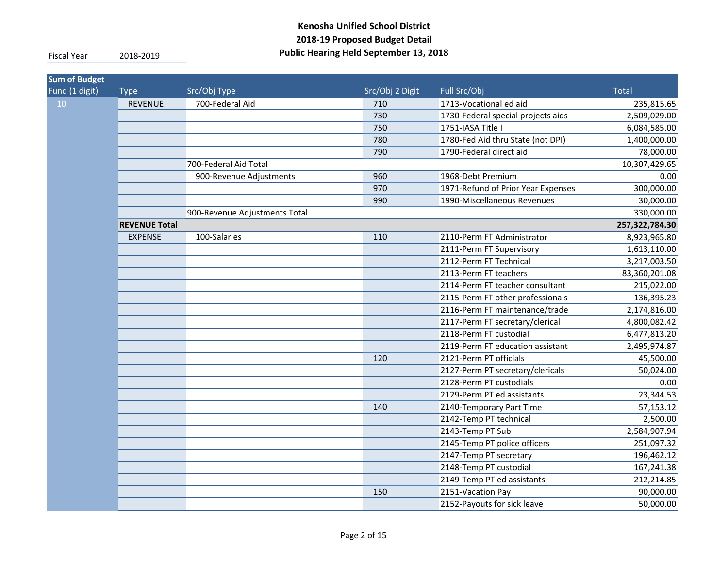| <b>Sum of Budget</b> |                      |                               |                 |                                    |                |
|----------------------|----------------------|-------------------------------|-----------------|------------------------------------|----------------|
| Fund (1 digit)       | <b>Type</b>          | Src/Obj Type                  | Src/Obj 2 Digit | Full Src/Obj                       | <b>Total</b>   |
| 10                   | <b>REVENUE</b>       | 700-Federal Aid               | 710             | 1713-Vocational ed aid             | 235,815.65     |
|                      |                      |                               | 730             | 1730-Federal special projects aids | 2,509,029.00   |
|                      |                      |                               | 750             | 1751-IASA Title I                  | 6,084,585.00   |
|                      |                      |                               | 780             | 1780-Fed Aid thru State (not DPI)  | 1,400,000.00   |
|                      |                      |                               | 790             | 1790-Federal direct aid            | 78,000.00      |
|                      |                      | 700-Federal Aid Total         |                 |                                    | 10,307,429.65  |
|                      |                      | 900-Revenue Adjustments       | 960             | 1968-Debt Premium                  | 0.00           |
|                      |                      |                               | 970             | 1971-Refund of Prior Year Expenses | 300,000.00     |
|                      |                      |                               | 990             | 1990-Miscellaneous Revenues        | 30,000.00      |
|                      |                      | 900-Revenue Adjustments Total |                 |                                    | 330,000.00     |
|                      | <b>REVENUE Total</b> |                               |                 |                                    | 257,322,784.30 |
|                      | <b>EXPENSE</b>       | 100-Salaries                  | 110             | 2110-Perm FT Administrator         | 8,923,965.80   |
|                      |                      |                               |                 | 2111-Perm FT Supervisory           | 1,613,110.00   |
|                      |                      |                               |                 | 2112-Perm FT Technical             | 3,217,003.50   |
|                      |                      |                               |                 | 2113-Perm FT teachers              | 83,360,201.08  |
|                      |                      |                               |                 | 2114-Perm FT teacher consultant    | 215,022.00     |
|                      |                      |                               |                 | 2115-Perm FT other professionals   | 136,395.23     |
|                      |                      |                               |                 | 2116-Perm FT maintenance/trade     | 2,174,816.00   |
|                      |                      |                               |                 | 2117-Perm FT secretary/clerical    | 4,800,082.42   |
|                      |                      |                               |                 | 2118-Perm FT custodial             | 6,477,813.20   |
|                      |                      |                               |                 | 2119-Perm FT education assistant   | 2,495,974.87   |
|                      |                      |                               | 120             | 2121-Perm PT officials             | 45,500.00      |
|                      |                      |                               |                 | 2127-Perm PT secretary/clericals   | 50,024.00      |
|                      |                      |                               |                 | 2128-Perm PT custodials            | 0.00           |
|                      |                      |                               |                 | 2129-Perm PT ed assistants         | 23,344.53      |
|                      |                      |                               | 140             | 2140-Temporary Part Time           | 57,153.12      |
|                      |                      |                               |                 | 2142-Temp PT technical             | 2,500.00       |
|                      |                      |                               |                 | 2143-Temp PT Sub                   | 2,584,907.94   |
|                      |                      |                               |                 | 2145-Temp PT police officers       | 251,097.32     |
|                      |                      |                               |                 | 2147-Temp PT secretary             | 196,462.12     |
|                      |                      |                               |                 | 2148-Temp PT custodial             | 167,241.38     |
|                      |                      |                               |                 | 2149-Temp PT ed assistants         | 212,214.85     |
|                      |                      |                               | 150             | 2151-Vacation Pay                  | 90,000.00      |
|                      |                      |                               |                 | 2152-Payouts for sick leave        | 50,000.00      |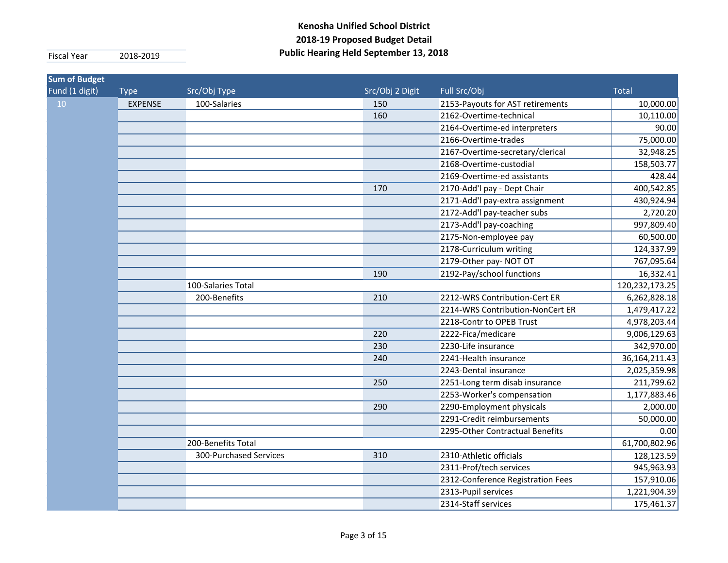| <b>Sum of Budget</b> |                    |                        |                 |                                   |               |  |
|----------------------|--------------------|------------------------|-----------------|-----------------------------------|---------------|--|
| Fund (1 digit)       | <b>Type</b>        | Src/Obj Type           | Src/Obj 2 Digit | Full Src/Obj                      | <b>Total</b>  |  |
| 10                   | <b>EXPENSE</b>     | 100-Salaries           | 150             | 2153-Payouts for AST retirements  | 10,000.00     |  |
|                      |                    |                        | 160             | 2162-Overtime-technical           | 10,110.00     |  |
|                      |                    |                        |                 | 2164-Overtime-ed interpreters     | 90.00         |  |
|                      |                    |                        |                 | 2166-Overtime-trades              | 75,000.00     |  |
|                      |                    |                        |                 | 2167-Overtime-secretary/clerical  | 32,948.25     |  |
|                      |                    |                        |                 | 2168-Overtime-custodial           | 158,503.77    |  |
|                      |                    |                        |                 | 2169-Overtime-ed assistants       | 428.44        |  |
|                      |                    |                        | 170             | 2170-Add'l pay - Dept Chair       | 400,542.85    |  |
|                      |                    |                        |                 | 2171-Add'l pay-extra assignment   | 430,924.94    |  |
|                      |                    |                        |                 | 2172-Add'l pay-teacher subs       | 2,720.20      |  |
|                      |                    |                        |                 | 2173-Add'l pay-coaching           | 997,809.40    |  |
|                      |                    |                        |                 | 2175-Non-employee pay             | 60,500.00     |  |
|                      |                    |                        |                 | 2178-Curriculum writing           | 124,337.99    |  |
|                      |                    |                        |                 | 2179-Other pay-NOT OT             | 767,095.64    |  |
|                      |                    |                        | 190             | 2192-Pay/school functions         | 16,332.41     |  |
|                      | 100-Salaries Total |                        |                 |                                   |               |  |
|                      |                    | 200-Benefits           | 210             | 2212-WRS Contribution-Cert ER     | 6,262,828.18  |  |
|                      |                    |                        |                 | 2214-WRS Contribution-NonCert ER  | 1,479,417.22  |  |
|                      |                    |                        |                 | 2218-Contr to OPEB Trust          | 4,978,203.44  |  |
|                      |                    |                        | 220             | 2222-Fica/medicare                | 9,006,129.63  |  |
|                      |                    |                        | 230             | 2230-Life insurance               | 342,970.00    |  |
|                      |                    |                        | 240             | 2241-Health insurance             | 36,164,211.43 |  |
|                      |                    |                        |                 | 2243-Dental insurance             | 2,025,359.98  |  |
|                      |                    |                        | 250             | 2251-Long term disab insurance    | 211,799.62    |  |
|                      |                    |                        |                 | 2253-Worker's compensation        | 1,177,883.46  |  |
|                      |                    |                        | 290             | 2290-Employment physicals         | 2,000.00      |  |
|                      |                    |                        |                 | 2291-Credit reimbursements        | 50,000.00     |  |
|                      |                    |                        |                 | 2295-Other Contractual Benefits   | 0.00          |  |
|                      |                    | 200-Benefits Total     |                 |                                   | 61,700,802.96 |  |
|                      |                    | 300-Purchased Services | 310             | 2310-Athletic officials           | 128,123.59    |  |
|                      |                    |                        |                 | 2311-Prof/tech services           | 945,963.93    |  |
|                      |                    |                        |                 | 2312-Conference Registration Fees | 157,910.06    |  |
|                      |                    |                        |                 | 2313-Pupil services               | 1,221,904.39  |  |
|                      |                    |                        |                 | 2314-Staff services               | 175,461.37    |  |
|                      |                    |                        |                 |                                   |               |  |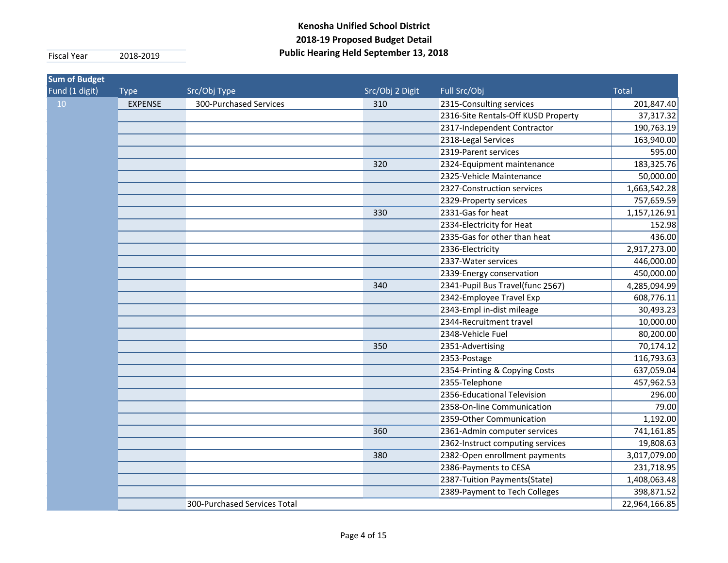| <b>Sum of Budget</b><br>Fund (1 digit) | <b>Type</b>    | Src/Obj Type                 | Src/Obj 2 Digit | Full Src/Obj                        | <b>Total</b>  |
|----------------------------------------|----------------|------------------------------|-----------------|-------------------------------------|---------------|
| 10                                     | <b>EXPENSE</b> | 300-Purchased Services       | 310             | 2315-Consulting services            | 201,847.40    |
|                                        |                |                              |                 | 2316-Site Rentals-Off KUSD Property | 37,317.32     |
|                                        |                |                              |                 | 2317-Independent Contractor         | 190,763.19    |
|                                        |                |                              |                 | 2318-Legal Services                 | 163,940.00    |
|                                        |                |                              |                 | 2319-Parent services                | 595.00        |
|                                        |                |                              | 320             | 2324-Equipment maintenance          | 183,325.76    |
|                                        |                |                              |                 | 2325-Vehicle Maintenance            | 50,000.00     |
|                                        |                |                              |                 | 2327-Construction services          | 1,663,542.28  |
|                                        |                |                              |                 | 2329-Property services              | 757,659.59    |
|                                        |                |                              | 330             | 2331-Gas for heat                   | 1,157,126.91  |
|                                        |                |                              |                 | 2334-Electricity for Heat           | 152.98        |
|                                        |                |                              |                 | 2335-Gas for other than heat        | 436.00        |
|                                        |                |                              |                 | 2336-Electricity                    | 2,917,273.00  |
|                                        |                |                              |                 | 2337-Water services                 | 446,000.00    |
|                                        |                |                              |                 | 2339-Energy conservation            | 450,000.00    |
|                                        |                |                              | 340             | 2341-Pupil Bus Travel(func 2567)    | 4,285,094.99  |
|                                        |                |                              |                 | 2342-Employee Travel Exp            | 608,776.11    |
|                                        |                |                              |                 | 2343-Empl in-dist mileage           | 30,493.23     |
|                                        |                |                              |                 | 2344-Recruitment travel             | 10,000.00     |
|                                        |                |                              |                 | 2348-Vehicle Fuel                   | 80,200.00     |
|                                        |                |                              | 350             | 2351-Advertising                    | 70,174.12     |
|                                        |                |                              |                 | 2353-Postage                        | 116,793.63    |
|                                        |                |                              |                 | 2354-Printing & Copying Costs       | 637,059.04    |
|                                        |                |                              |                 | 2355-Telephone                      | 457,962.53    |
|                                        |                |                              |                 | 2356-Educational Television         | 296.00        |
|                                        |                |                              |                 | 2358-On-line Communication          | 79.00         |
|                                        |                |                              |                 | 2359-Other Communication            | 1,192.00      |
|                                        |                |                              | 360             | 2361-Admin computer services        | 741,161.85    |
|                                        |                |                              |                 | 2362-Instruct computing services    | 19,808.63     |
|                                        |                |                              | 380             | 2382-Open enrollment payments       | 3,017,079.00  |
|                                        |                |                              |                 | 2386-Payments to CESA               | 231,718.95    |
|                                        |                |                              |                 | 2387-Tuition Payments(State)        | 1,408,063.48  |
|                                        |                |                              |                 | 2389-Payment to Tech Colleges       | 398,871.52    |
|                                        |                | 300-Purchased Services Total |                 |                                     | 22,964,166.85 |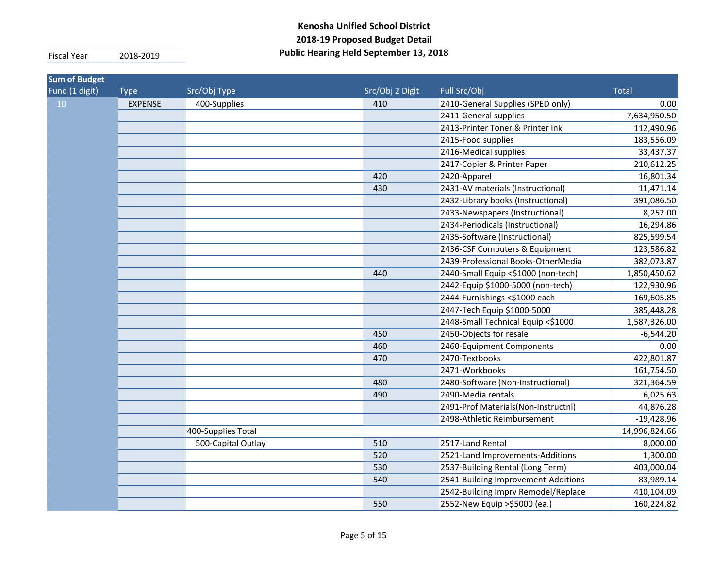| <b>Sum of Budget</b> |                |                    |                 |                                     |               |
|----------------------|----------------|--------------------|-----------------|-------------------------------------|---------------|
| Fund (1 digit)       | <b>Type</b>    | Src/Obj Type       | Src/Obj 2 Digit | Full Src/Obj                        | <b>Total</b>  |
| 10 <sup>°</sup>      | <b>EXPENSE</b> | 400-Supplies       | 410             | 2410-General Supplies (SPED only)   | 0.00          |
|                      |                |                    |                 | 2411-General supplies               | 7,634,950.50  |
|                      |                |                    |                 | 2413-Printer Toner & Printer Ink    | 112,490.96    |
|                      |                |                    |                 | 2415-Food supplies                  | 183,556.09    |
|                      |                |                    |                 | 2416-Medical supplies               | 33,437.37     |
|                      |                |                    |                 | 2417-Copier & Printer Paper         | 210,612.25    |
|                      |                |                    | 420             | 2420-Apparel                        | 16,801.34     |
|                      |                |                    | 430             | 2431-AV materials (Instructional)   | 11,471.14     |
|                      |                |                    |                 | 2432-Library books (Instructional)  | 391,086.50    |
|                      |                |                    |                 | 2433-Newspapers (Instructional)     | 8,252.00      |
|                      |                |                    |                 | 2434-Periodicals (Instructional)    | 16,294.86     |
|                      |                |                    |                 | 2435-Software (Instructional)       | 825,599.54    |
|                      |                |                    |                 | 2436-CSF Computers & Equipment      | 123,586.82    |
|                      |                |                    |                 | 2439-Professional Books-OtherMedia  | 382,073.87    |
|                      |                |                    | 440             | 2440-Small Equip <\$1000 (non-tech) | 1,850,450.62  |
|                      |                |                    |                 | 2442-Equip \$1000-5000 (non-tech)   | 122,930.96    |
|                      |                |                    |                 | 2444-Furnishings <\$1000 each       | 169,605.85    |
|                      |                |                    |                 | 2447-Tech Equip \$1000-5000         | 385,448.28    |
|                      |                |                    |                 | 2448-Small Technical Equip <\$1000  | 1,587,326.00  |
|                      |                |                    | 450             | 2450-Objects for resale             | $-6,544.20$   |
|                      |                |                    | 460             | 2460-Equipment Components           | 0.00          |
|                      |                |                    | 470             | 2470-Textbooks                      | 422,801.87    |
|                      |                |                    |                 | 2471-Workbooks                      | 161,754.50    |
|                      |                |                    | 480             | 2480-Software (Non-Instructional)   | 321,364.59    |
|                      |                |                    | 490             | 2490-Media rentals                  | 6,025.63      |
|                      |                |                    |                 | 2491-Prof Materials(Non-Instructnl) | 44,876.28     |
|                      |                |                    |                 | 2498-Athletic Reimbursement         | $-19,428.96$  |
|                      |                | 400-Supplies Total |                 |                                     | 14,996,824.66 |
|                      |                | 500-Capital Outlay | 510             | 2517-Land Rental                    | 8,000.00      |
|                      |                |                    | 520             | 2521-Land Improvements-Additions    | 1,300.00      |
|                      |                |                    | 530             | 2537-Building Rental (Long Term)    | 403,000.04    |
|                      |                |                    | 540             | 2541-Building Improvement-Additions | 83,989.14     |
|                      |                |                    |                 | 2542-Building Imprv Remodel/Replace | 410,104.09    |
|                      |                |                    | 550             | 2552-New Equip > \$5000 (ea.)       | 160,224.82    |
|                      |                |                    |                 |                                     |               |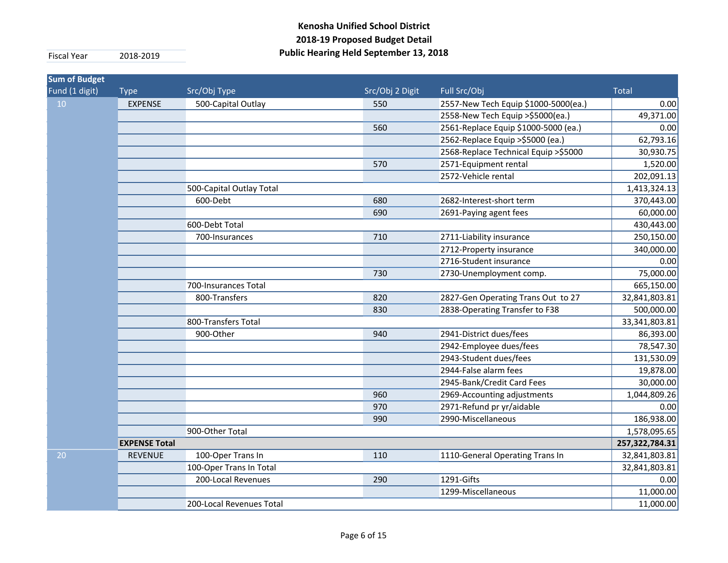| <b>Sum of Budget</b> |                      |                          |                 |                                      |                |
|----------------------|----------------------|--------------------------|-----------------|--------------------------------------|----------------|
| Fund (1 digit)       | <b>Type</b>          | Src/Obj Type             | Src/Obj 2 Digit | Full Src/Obj                         | <b>Total</b>   |
| 10 <sup>°</sup>      | <b>EXPENSE</b>       | 500-Capital Outlay       | 550             | 2557-New Tech Equip \$1000-5000(ea.) | 0.00           |
|                      |                      |                          |                 | 2558-New Tech Equip > \$5000(ea.)    | 49,371.00      |
|                      |                      |                          | 560             | 2561-Replace Equip \$1000-5000 (ea.) | 0.00           |
|                      |                      |                          |                 | 2562-Replace Equip > \$5000 (ea.)    | 62,793.16      |
|                      |                      |                          |                 | 2568-Replace Technical Equip >\$5000 | 30,930.75      |
|                      |                      |                          | 570             | 2571-Equipment rental                | 1,520.00       |
|                      |                      |                          |                 | 2572-Vehicle rental                  | 202,091.13     |
|                      |                      | 500-Capital Outlay Total |                 |                                      | 1,413,324.13   |
|                      |                      | 600-Debt                 | 680             | 2682-Interest-short term             | 370,443.00     |
|                      |                      |                          | 690             | 2691-Paying agent fees               | 60,000.00      |
|                      |                      | 600-Debt Total           |                 |                                      | 430,443.00     |
|                      |                      | 700-Insurances           | 710             | 2711-Liability insurance             | 250,150.00     |
|                      |                      |                          |                 | 2712-Property insurance              | 340,000.00     |
|                      |                      |                          |                 | 2716-Student insurance               | 0.00           |
|                      |                      |                          | 730             | 2730-Unemployment comp.              | 75,000.00      |
|                      |                      | 700-Insurances Total     |                 |                                      | 665,150.00     |
|                      |                      | 800-Transfers            | 820             | 2827-Gen Operating Trans Out to 27   | 32,841,803.81  |
|                      |                      |                          | 830             | 2838-Operating Transfer to F38       | 500,000.00     |
|                      |                      | 800-Transfers Total      |                 |                                      | 33,341,803.81  |
|                      |                      | 900-Other                | 940             | 2941-District dues/fees              | 86,393.00      |
|                      |                      |                          |                 | 2942-Employee dues/fees              | 78,547.30      |
|                      |                      |                          |                 | 2943-Student dues/fees               | 131,530.09     |
|                      |                      |                          |                 | 2944-False alarm fees                | 19,878.00      |
|                      |                      |                          |                 | 2945-Bank/Credit Card Fees           | 30,000.00      |
|                      |                      |                          | 960             | 2969-Accounting adjustments          | 1,044,809.26   |
|                      |                      |                          | 970             | 2971-Refund pr yr/aidable            | 0.00           |
|                      |                      |                          | 990             | 2990-Miscellaneous                   | 186,938.00     |
|                      |                      | 900-Other Total          |                 |                                      | 1,578,095.65   |
|                      | <b>EXPENSE Total</b> |                          |                 |                                      | 257,322,784.31 |
| 20                   | <b>REVENUE</b>       | 100-Oper Trans In        | 110             | 1110-General Operating Trans In      | 32,841,803.81  |
|                      |                      | 100-Oper Trans In Total  |                 |                                      | 32,841,803.81  |
|                      |                      | 200-Local Revenues       | 290             | 1291-Gifts                           | 0.00           |
|                      |                      |                          |                 | 1299-Miscellaneous                   | 11,000.00      |
|                      |                      | 200-Local Revenues Total |                 |                                      | 11,000.00      |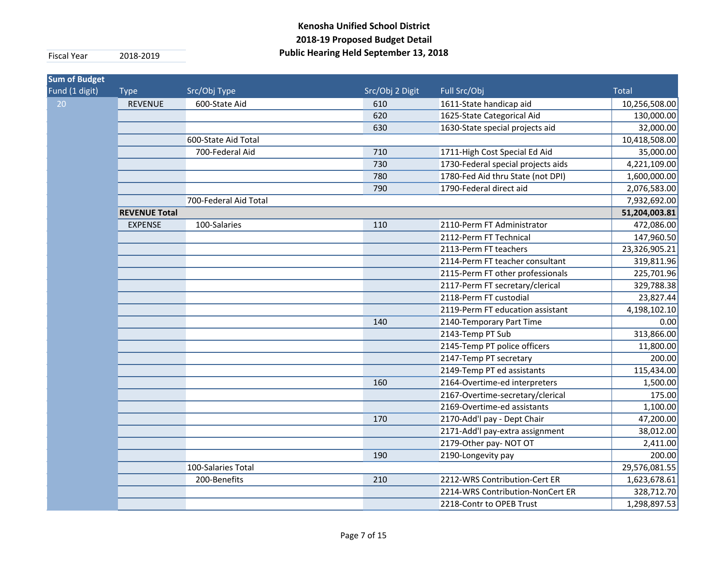| <b>Sum of Budget</b> |                      |                       |                 |                                    |               |
|----------------------|----------------------|-----------------------|-----------------|------------------------------------|---------------|
| Fund (1 digit)       | <b>Type</b>          | Src/Obj Type          | Src/Obj 2 Digit | Full Src/Obj                       | <b>Total</b>  |
| 20                   | <b>REVENUE</b>       | 600-State Aid         | 610             | 1611-State handicap aid            | 10,256,508.00 |
|                      |                      |                       | 620             | 1625-State Categorical Aid         | 130,000.00    |
|                      |                      |                       | 630             | 1630-State special projects aid    | 32,000.00     |
|                      |                      | 600-State Aid Total   |                 |                                    | 10,418,508.00 |
|                      |                      | 700-Federal Aid       | 710             | 1711-High Cost Special Ed Aid      | 35,000.00     |
|                      |                      |                       | 730             | 1730-Federal special projects aids | 4,221,109.00  |
|                      |                      |                       | 780             | 1780-Fed Aid thru State (not DPI)  | 1,600,000.00  |
|                      |                      |                       | 790             | 1790-Federal direct aid            | 2,076,583.00  |
|                      |                      | 700-Federal Aid Total |                 |                                    | 7,932,692.00  |
|                      | <b>REVENUE Total</b> |                       |                 |                                    | 51,204,003.81 |
|                      | <b>EXPENSE</b>       | 100-Salaries          | 110             | 2110-Perm FT Administrator         | 472,086.00    |
|                      |                      |                       |                 | 2112-Perm FT Technical             | 147,960.50    |
|                      |                      |                       |                 | 2113-Perm FT teachers              | 23,326,905.21 |
|                      |                      |                       |                 | 2114-Perm FT teacher consultant    | 319,811.96    |
|                      |                      |                       |                 | 2115-Perm FT other professionals   | 225,701.96    |
|                      |                      |                       |                 | 2117-Perm FT secretary/clerical    | 329,788.38    |
|                      |                      |                       |                 | 2118-Perm FT custodial             | 23,827.44     |
|                      |                      |                       |                 | 2119-Perm FT education assistant   | 4,198,102.10  |
|                      |                      |                       | 140             | 2140-Temporary Part Time           | 0.00          |
|                      |                      |                       |                 | 2143-Temp PT Sub                   | 313,866.00    |
|                      |                      |                       |                 | 2145-Temp PT police officers       | 11,800.00     |
|                      |                      |                       |                 | 2147-Temp PT secretary             | 200.00        |
|                      |                      |                       |                 | 2149-Temp PT ed assistants         | 115,434.00    |
|                      |                      |                       | 160             | 2164-Overtime-ed interpreters      | 1,500.00      |
|                      |                      |                       |                 | 2167-Overtime-secretary/clerical   | 175.00        |
|                      |                      |                       |                 | 2169-Overtime-ed assistants        | 1,100.00      |
|                      |                      |                       | 170             | 2170-Add'l pay - Dept Chair        | 47,200.00     |
|                      |                      |                       |                 | 2171-Add'l pay-extra assignment    | 38,012.00     |
|                      |                      |                       |                 | 2179-Other pay- NOT OT             | 2,411.00      |
|                      |                      |                       | 190             | 2190-Longevity pay                 | 200.00        |
|                      |                      | 100-Salaries Total    |                 |                                    | 29,576,081.55 |
|                      |                      | 200-Benefits          | 210             | 2212-WRS Contribution-Cert ER      | 1,623,678.61  |
|                      |                      |                       |                 | 2214-WRS Contribution-NonCert ER   | 328,712.70    |
|                      |                      |                       |                 | 2218-Contr to OPEB Trust           | 1,298,897.53  |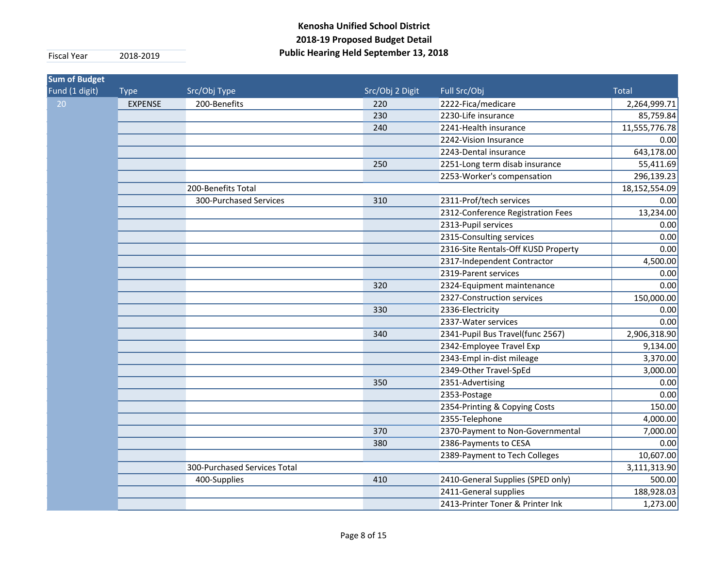| <b>Sum of Budget</b> |                |                              |                 |                                     |               |
|----------------------|----------------|------------------------------|-----------------|-------------------------------------|---------------|
| Fund (1 digit)       | <b>Type</b>    | Src/Obj Type                 | Src/Obj 2 Digit | Full Src/Obj                        | <b>Total</b>  |
| 20                   | <b>EXPENSE</b> | 200-Benefits                 | 220             | 2222-Fica/medicare                  | 2,264,999.71  |
|                      |                |                              | 230             | 2230-Life insurance                 | 85,759.84     |
|                      |                |                              | 240             | 2241-Health insurance               | 11,555,776.78 |
|                      |                |                              |                 | 2242-Vision Insurance               | 0.00          |
|                      |                |                              |                 | 2243-Dental insurance               | 643,178.00    |
|                      |                |                              | 250             | 2251-Long term disab insurance      | 55,411.69     |
|                      |                |                              |                 | 2253-Worker's compensation          | 296,139.23    |
|                      |                | 200-Benefits Total           |                 |                                     | 18,152,554.09 |
|                      |                | 300-Purchased Services       | 310             | 2311-Prof/tech services             | 0.00          |
|                      |                |                              |                 | 2312-Conference Registration Fees   | 13,234.00     |
|                      |                |                              |                 | 2313-Pupil services                 | 0.00          |
|                      |                |                              |                 | 2315-Consulting services            | 0.00          |
|                      |                |                              |                 | 2316-Site Rentals-Off KUSD Property | 0.00          |
|                      |                |                              |                 | 2317-Independent Contractor         | 4,500.00      |
|                      |                |                              |                 | 2319-Parent services                | 0.00          |
|                      |                |                              | 320             | 2324-Equipment maintenance          | 0.00          |
|                      |                |                              |                 | 2327-Construction services          | 150,000.00    |
|                      |                |                              | 330             | 2336-Electricity                    | 0.00          |
|                      |                |                              |                 | 2337-Water services                 | 0.00          |
|                      |                |                              | 340             | 2341-Pupil Bus Travel(func 2567)    | 2,906,318.90  |
|                      |                |                              |                 | 2342-Employee Travel Exp            | 9,134.00      |
|                      |                |                              |                 | 2343-Empl in-dist mileage           | 3,370.00      |
|                      |                |                              |                 | 2349-Other Travel-SpEd              | 3,000.00      |
|                      |                |                              | 350             | 2351-Advertising                    | 0.00          |
|                      |                |                              |                 | 2353-Postage                        | 0.00          |
|                      |                |                              |                 | 2354-Printing & Copying Costs       | 150.00        |
|                      |                |                              |                 | 2355-Telephone                      | 4,000.00      |
|                      |                |                              | 370             | 2370-Payment to Non-Governmental    | 7,000.00      |
|                      |                |                              | 380             | 2386-Payments to CESA               | 0.00          |
|                      |                |                              |                 | 2389-Payment to Tech Colleges       | 10,607.00     |
|                      |                | 300-Purchased Services Total |                 |                                     | 3,111,313.90  |
|                      |                | 400-Supplies                 | 410             | 2410-General Supplies (SPED only)   | 500.00        |
|                      |                |                              |                 | 2411-General supplies               | 188,928.03    |
|                      |                |                              |                 | 2413-Printer Toner & Printer Ink    | 1,273.00      |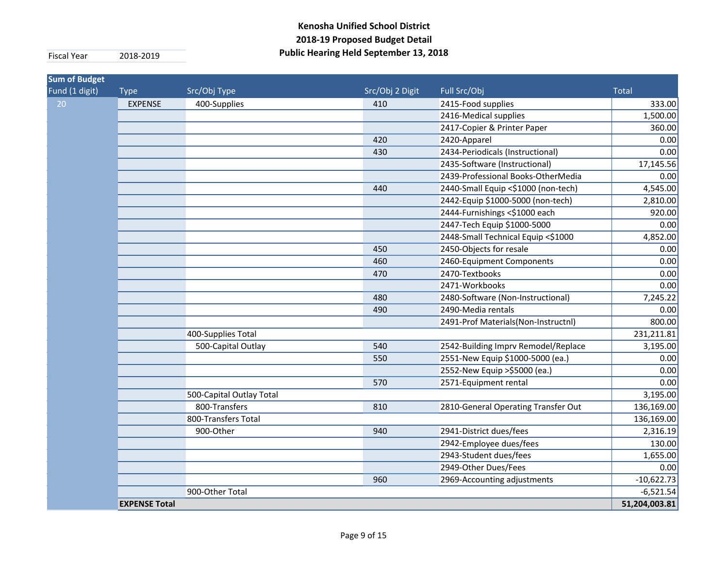| <b>Sum of Budget</b><br>Fund (1 digit) | <b>Type</b>          | Src/Obj Type             | Src/Obj 2 Digit | Full Src/Obj                        | <b>Total</b>  |
|----------------------------------------|----------------------|--------------------------|-----------------|-------------------------------------|---------------|
| 20                                     | <b>EXPENSE</b>       | 400-Supplies             | 410             | 2415-Food supplies                  | 333.00        |
|                                        |                      |                          |                 | 2416-Medical supplies               | 1,500.00      |
|                                        |                      |                          |                 | 2417-Copier & Printer Paper         | 360.00        |
|                                        |                      |                          | 420             | 2420-Apparel                        | 0.00          |
|                                        |                      |                          | 430             | 2434-Periodicals (Instructional)    | 0.00          |
|                                        |                      |                          |                 | 2435-Software (Instructional)       | 17,145.56     |
|                                        |                      |                          |                 | 2439-Professional Books-OtherMedia  | 0.00          |
|                                        |                      |                          | 440             | 2440-Small Equip <\$1000 (non-tech) | 4,545.00      |
|                                        |                      |                          |                 | 2442-Equip \$1000-5000 (non-tech)   | 2,810.00      |
|                                        |                      |                          |                 | 2444-Furnishings <\$1000 each       | 920.00        |
|                                        |                      |                          |                 | 2447-Tech Equip \$1000-5000         | 0.00          |
|                                        |                      |                          |                 | 2448-Small Technical Equip <\$1000  | 4,852.00      |
|                                        |                      |                          | 450             | 2450-Objects for resale             | 0.00          |
|                                        |                      |                          | 460             | 2460-Equipment Components           | 0.00          |
|                                        |                      |                          | 470             | 2470-Textbooks                      | 0.00          |
|                                        |                      |                          |                 | 2471-Workbooks                      | 0.00          |
|                                        |                      |                          | 480             | 2480-Software (Non-Instructional)   | 7,245.22      |
|                                        |                      |                          | 490             | 2490-Media rentals                  | 0.00          |
|                                        |                      |                          |                 | 2491-Prof Materials(Non-Instructnl) | 800.00        |
|                                        |                      | 400-Supplies Total       |                 |                                     | 231,211.81    |
|                                        |                      | 500-Capital Outlay       | 540             | 2542-Building Imprv Remodel/Replace | 3,195.00      |
|                                        |                      |                          | 550             | 2551-New Equip \$1000-5000 (ea.)    | 0.00          |
|                                        |                      |                          |                 | 2552-New Equip >\$5000 (ea.)        | 0.00          |
|                                        |                      |                          | 570             | 2571-Equipment rental               | 0.00          |
|                                        |                      | 500-Capital Outlay Total |                 |                                     | 3,195.00      |
|                                        |                      | 800-Transfers            | 810             | 2810-General Operating Transfer Out | 136,169.00    |
|                                        |                      | 800-Transfers Total      |                 |                                     | 136,169.00    |
|                                        |                      | 900-Other                | 940             | 2941-District dues/fees             | 2,316.19      |
|                                        |                      |                          |                 | 2942-Employee dues/fees             | 130.00        |
|                                        |                      |                          |                 | 2943-Student dues/fees              | 1,655.00      |
|                                        |                      |                          |                 | 2949-Other Dues/Fees                | 0.00          |
|                                        |                      |                          | 960             | 2969-Accounting adjustments         | $-10,622.73$  |
|                                        |                      | 900-Other Total          |                 |                                     | $-6,521.54$   |
|                                        | <b>EXPENSE Total</b> |                          |                 |                                     | 51,204,003.81 |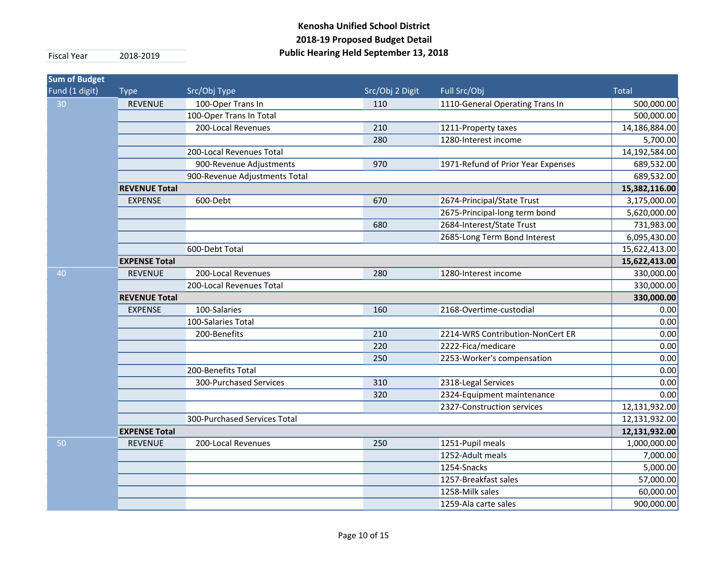| <b>Sum of Budget</b> |                      |                               |                 |                                    |               |
|----------------------|----------------------|-------------------------------|-----------------|------------------------------------|---------------|
| Fund (1 digit)       | <b>Type</b>          | Src/Obj Type                  | Src/Obj 2 Digit | Full Src/Obj                       | <b>Total</b>  |
| 30                   | <b>REVENUE</b>       | 100-Oper Trans In             | 110             | 1110-General Operating Trans In    | 500,000.00    |
|                      |                      | 100-Oper Trans In Total       |                 |                                    | 500,000.00    |
|                      |                      | 200-Local Revenues            | 210             | 1211-Property taxes                | 14,186,884.00 |
|                      |                      |                               | 280             | 1280-Interest income               | 5,700.00      |
|                      |                      | 200-Local Revenues Total      |                 |                                    | 14,192,584.00 |
|                      |                      | 900-Revenue Adjustments       | 970             | 1971-Refund of Prior Year Expenses | 689,532.00    |
|                      |                      | 900-Revenue Adjustments Total |                 |                                    | 689,532.00    |
|                      | <b>REVENUE Total</b> |                               |                 |                                    | 15,382,116.00 |
|                      | <b>EXPENSE</b>       | 600-Debt                      | 670             | 2674-Principal/State Trust         | 3,175,000.00  |
|                      |                      |                               |                 | 2675-Principal-long term bond      | 5,620,000.00  |
|                      |                      |                               | 680             | 2684-Interest/State Trust          | 731,983.00    |
|                      |                      |                               |                 | 2685-Long Term Bond Interest       | 6,095,430.00  |
|                      |                      | 600-Debt Total                |                 |                                    | 15,622,413.00 |
|                      | <b>EXPENSE Total</b> |                               |                 |                                    | 15,622,413.00 |
| 40                   | <b>REVENUE</b>       | 200-Local Revenues            | 280             | 1280-Interest income               | 330,000.00    |
|                      |                      | 200-Local Revenues Total      |                 |                                    | 330,000.00    |
|                      | <b>REVENUE Total</b> |                               |                 |                                    | 330,000.00    |
|                      | <b>EXPENSE</b>       | 100-Salaries                  | 160             | 2168-Overtime-custodial            | 0.00          |
|                      |                      | 100-Salaries Total            |                 |                                    | 0.00          |
|                      |                      | 200-Benefits                  | 210             | 2214-WRS Contribution-NonCert ER   | 0.00          |
|                      |                      |                               | 220             | 2222-Fica/medicare                 | 0.00          |
|                      |                      |                               | 250             | 2253-Worker's compensation         | 0.00          |
|                      |                      | 200-Benefits Total            |                 |                                    | 0.00          |
|                      |                      | 300-Purchased Services        | 310             | 2318-Legal Services                | 0.00          |
|                      |                      |                               | 320             | 2324-Equipment maintenance         | 0.00          |
|                      |                      |                               |                 | 2327-Construction services         | 12,131,932.00 |
|                      |                      | 300-Purchased Services Total  |                 |                                    | 12,131,932.00 |
|                      | <b>EXPENSE Total</b> |                               |                 |                                    | 12,131,932.00 |
| 50                   | <b>REVENUE</b>       | 200-Local Revenues            | 250             | 1251-Pupil meals                   | 1,000,000.00  |
|                      |                      |                               |                 | 1252-Adult meals                   | 7,000.00      |
|                      |                      |                               |                 | 1254-Snacks                        | 5,000.00      |
|                      |                      |                               |                 | 1257-Breakfast sales               | 57,000.00     |
|                      |                      |                               |                 | 1258-Milk sales                    | 60,000.00     |
|                      |                      |                               |                 | 1259-Ala carte sales               | 900,000.00    |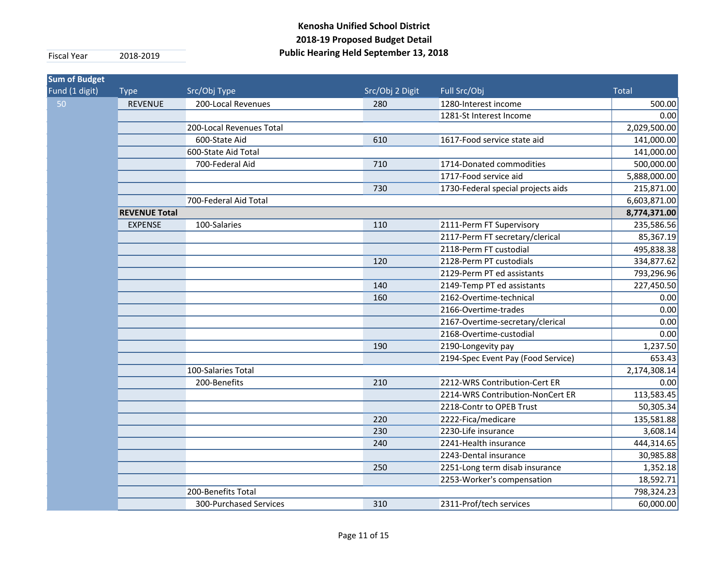| <b>Sum of Budget</b> |                      |                          |                 |                                    |              |
|----------------------|----------------------|--------------------------|-----------------|------------------------------------|--------------|
| Fund (1 digit)       | <b>Type</b>          | Src/Obj Type             | Src/Obj 2 Digit | Full Src/Obj                       | <b>Total</b> |
| 50                   | <b>REVENUE</b>       | 200-Local Revenues       | 280             | 1280-Interest income               | 500.00       |
|                      |                      |                          |                 | 1281-St Interest Income            | 0.00         |
|                      |                      | 200-Local Revenues Total |                 |                                    | 2,029,500.00 |
|                      |                      | 600-State Aid            | 610             | 1617-Food service state aid        | 141,000.00   |
|                      |                      | 600-State Aid Total      |                 |                                    | 141,000.00   |
|                      |                      | 700-Federal Aid          | 710             | 1714-Donated commodities           | 500,000.00   |
|                      |                      |                          |                 | 1717-Food service aid              | 5,888,000.00 |
|                      |                      |                          | 730             | 1730-Federal special projects aids | 215,871.00   |
|                      |                      | 700-Federal Aid Total    |                 |                                    | 6,603,871.00 |
|                      | <b>REVENUE Total</b> |                          |                 |                                    | 8,774,371.00 |
|                      | <b>EXPENSE</b>       | 100-Salaries             | 110             | 2111-Perm FT Supervisory           | 235,586.56   |
|                      |                      |                          |                 | 2117-Perm FT secretary/clerical    | 85,367.19    |
|                      |                      |                          |                 | 2118-Perm FT custodial             | 495,838.38   |
|                      |                      |                          | 120             | 2128-Perm PT custodials            | 334,877.62   |
|                      |                      |                          |                 | 2129-Perm PT ed assistants         | 793,296.96   |
|                      |                      |                          | 140             | 2149-Temp PT ed assistants         | 227,450.50   |
|                      |                      |                          | 160             | 2162-Overtime-technical            | 0.00         |
|                      |                      |                          |                 | 2166-Overtime-trades               | 0.00         |
|                      |                      |                          |                 | 2167-Overtime-secretary/clerical   | 0.00         |
|                      |                      |                          |                 | 2168-Overtime-custodial            | 0.00         |
|                      |                      |                          | 190             | 2190-Longevity pay                 | 1,237.50     |
|                      |                      |                          |                 | 2194-Spec Event Pay (Food Service) | 653.43       |
|                      |                      | 100-Salaries Total       |                 |                                    | 2,174,308.14 |
|                      |                      | 200-Benefits             | 210             | 2212-WRS Contribution-Cert ER      | 0.00         |
|                      |                      |                          |                 | 2214-WRS Contribution-NonCert ER   | 113,583.45   |
|                      |                      |                          |                 | 2218-Contr to OPEB Trust           | 50,305.34    |
|                      |                      |                          | 220             | 2222-Fica/medicare                 | 135,581.88   |
|                      |                      |                          | 230             | 2230-Life insurance                | 3,608.14     |
|                      |                      |                          | 240             | 2241-Health insurance              | 444,314.65   |
|                      |                      |                          |                 | 2243-Dental insurance              | 30,985.88    |
|                      |                      |                          | 250             | 2251-Long term disab insurance     | 1,352.18     |
|                      |                      |                          |                 | 2253-Worker's compensation         | 18,592.71    |
|                      |                      | 200-Benefits Total       |                 |                                    | 798,324.23   |
|                      |                      | 300-Purchased Services   | 310             | 2311-Prof/tech services            | 60,000.00    |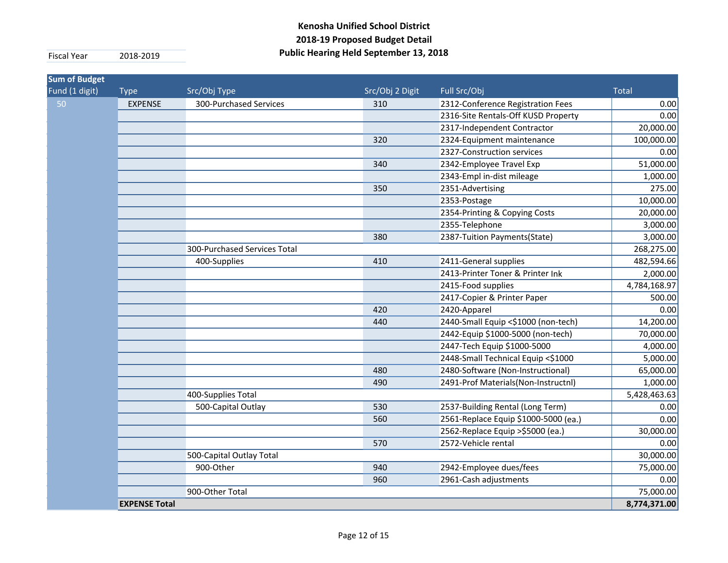| <b>Sum of Budget</b><br>Fund (1 digit) | <b>Type</b>          | Src/Obj Type                 | Src/Obj 2 Digit | Full Src/Obj                         | <b>Total</b> |
|----------------------------------------|----------------------|------------------------------|-----------------|--------------------------------------|--------------|
| 50                                     | <b>EXPENSE</b>       | 300-Purchased Services       | 310             | 2312-Conference Registration Fees    | 0.00         |
|                                        |                      |                              |                 | 2316-Site Rentals-Off KUSD Property  | 0.00         |
|                                        |                      |                              |                 | 2317-Independent Contractor          | 20,000.00    |
|                                        |                      |                              | 320             | 2324-Equipment maintenance           | 100,000.00   |
|                                        |                      |                              |                 | 2327-Construction services           | 0.00         |
|                                        |                      |                              | 340             | 2342-Employee Travel Exp             | 51,000.00    |
|                                        |                      |                              |                 | 2343-Empl in-dist mileage            | 1,000.00     |
|                                        |                      |                              | 350             | 2351-Advertising                     | 275.00       |
|                                        |                      |                              |                 | 2353-Postage                         | 10,000.00    |
|                                        |                      |                              |                 | 2354-Printing & Copying Costs        | 20,000.00    |
|                                        |                      |                              |                 | 2355-Telephone                       | 3,000.00     |
|                                        |                      |                              | 380             | 2387-Tuition Payments(State)         | 3,000.00     |
|                                        |                      | 300-Purchased Services Total |                 |                                      | 268,275.00   |
|                                        |                      | 400-Supplies                 | 410             | 2411-General supplies                | 482,594.66   |
|                                        |                      |                              |                 | 2413-Printer Toner & Printer Ink     | 2,000.00     |
|                                        |                      |                              |                 | 2415-Food supplies                   | 4,784,168.97 |
|                                        |                      |                              |                 | 2417-Copier & Printer Paper          | 500.00       |
|                                        |                      |                              | 420             | 2420-Apparel                         | 0.00         |
|                                        |                      |                              | 440             | 2440-Small Equip <\$1000 (non-tech)  | 14,200.00    |
|                                        |                      |                              |                 | 2442-Equip \$1000-5000 (non-tech)    | 70,000.00    |
|                                        |                      |                              |                 | 2447-Tech Equip \$1000-5000          | 4,000.00     |
|                                        |                      |                              |                 | 2448-Small Technical Equip <\$1000   | 5,000.00     |
|                                        |                      |                              | 480             | 2480-Software (Non-Instructional)    | 65,000.00    |
|                                        |                      |                              | 490             | 2491-Prof Materials(Non-Instructnl)  | 1,000.00     |
|                                        |                      | 400-Supplies Total           |                 |                                      | 5,428,463.63 |
|                                        |                      | 500-Capital Outlay           | 530             | 2537-Building Rental (Long Term)     | 0.00         |
|                                        |                      |                              | 560             | 2561-Replace Equip \$1000-5000 (ea.) | 0.00         |
|                                        |                      |                              |                 | 2562-Replace Equip > \$5000 (ea.)    | 30,000.00    |
|                                        |                      |                              | 570             | 2572-Vehicle rental                  | 0.00         |
|                                        |                      | 500-Capital Outlay Total     |                 |                                      | 30,000.00    |
|                                        |                      | 900-Other                    | 940             | 2942-Employee dues/fees              | 75,000.00    |
|                                        |                      |                              | 960             | 2961-Cash adjustments                | 0.00         |
|                                        |                      | 900-Other Total              |                 |                                      | 75,000.00    |
|                                        | <b>EXPENSE Total</b> |                              |                 |                                      | 8,774,371.00 |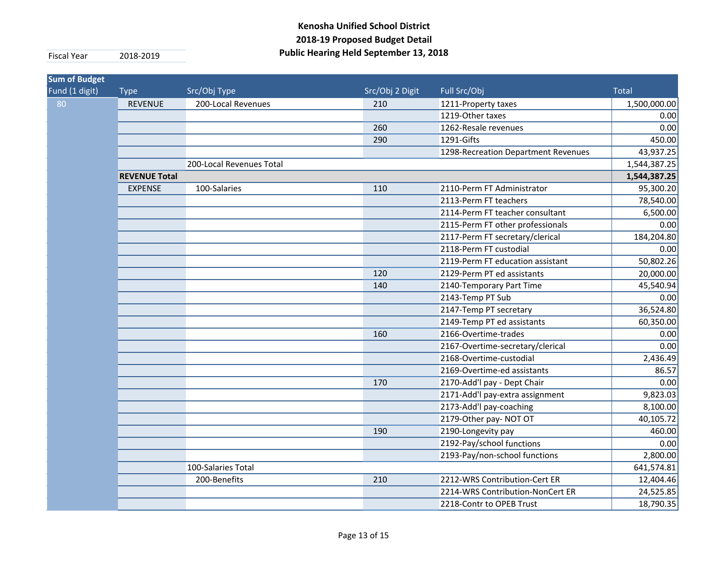| <b>Sum of Budget</b> |                      |                          |                 |                                     |              |
|----------------------|----------------------|--------------------------|-----------------|-------------------------------------|--------------|
| Fund (1 digit)       | <b>Type</b>          | Src/Obj Type             | Src/Obj 2 Digit | Full Src/Obj                        | <b>Total</b> |
| 80                   | <b>REVENUE</b>       | 200-Local Revenues       | 210             | 1211-Property taxes                 | 1,500,000.00 |
|                      |                      |                          |                 | 1219-Other taxes                    | 0.00         |
|                      |                      |                          | 260             | 1262-Resale revenues                | 0.00         |
|                      |                      |                          | 290             | 1291-Gifts                          | 450.00       |
|                      |                      |                          |                 | 1298-Recreation Department Revenues | 43,937.25    |
|                      |                      | 200-Local Revenues Total |                 |                                     | 1,544,387.25 |
|                      | <b>REVENUE Total</b> |                          |                 |                                     |              |
|                      | <b>EXPENSE</b>       | 100-Salaries             | 110             | 2110-Perm FT Administrator          | 95,300.20    |
|                      |                      |                          |                 | 2113-Perm FT teachers               | 78,540.00    |
|                      |                      |                          |                 | 2114-Perm FT teacher consultant     | 6,500.00     |
|                      |                      |                          |                 | 2115-Perm FT other professionals    | 0.00         |
|                      |                      |                          |                 | 2117-Perm FT secretary/clerical     | 184,204.80   |
|                      |                      |                          |                 | 2118-Perm FT custodial              | 0.00         |
|                      |                      |                          |                 | 2119-Perm FT education assistant    | 50,802.26    |
|                      |                      |                          | 120             | 2129-Perm PT ed assistants          | 20,000.00    |
|                      |                      |                          | 140             | 2140-Temporary Part Time            | 45,540.94    |
|                      |                      |                          |                 | 2143-Temp PT Sub                    | 0.00         |
|                      |                      |                          |                 | 2147-Temp PT secretary              | 36,524.80    |
|                      |                      |                          |                 | 2149-Temp PT ed assistants          | 60,350.00    |
|                      |                      |                          | 160             | 2166-Overtime-trades                | 0.00         |
|                      |                      |                          |                 | 2167-Overtime-secretary/clerical    | 0.00         |
|                      |                      |                          |                 | 2168-Overtime-custodial             | 2,436.49     |
|                      |                      |                          |                 | 2169-Overtime-ed assistants         | 86.57        |
|                      |                      |                          | 170             | 2170-Add'l pay - Dept Chair         | 0.00         |
|                      |                      |                          |                 | 2171-Add'l pay-extra assignment     | 9,823.03     |
|                      |                      |                          |                 | 2173-Add'l pay-coaching             | 8,100.00     |
|                      |                      |                          |                 | 2179-Other pay-NOT OT               | 40,105.72    |
|                      |                      |                          | 190             | 2190-Longevity pay                  | 460.00       |
|                      |                      |                          |                 | 2192-Pay/school functions           | 0.00         |
|                      |                      |                          |                 | 2193-Pay/non-school functions       | 2,800.00     |
|                      |                      | 100-Salaries Total       |                 |                                     | 641,574.81   |
|                      |                      | 200-Benefits             | 210             | 2212-WRS Contribution-Cert ER       | 12,404.46    |
|                      |                      |                          |                 | 2214-WRS Contribution-NonCert ER    | 24,525.85    |
|                      |                      |                          |                 | 2218-Contr to OPEB Trust            | 18,790.35    |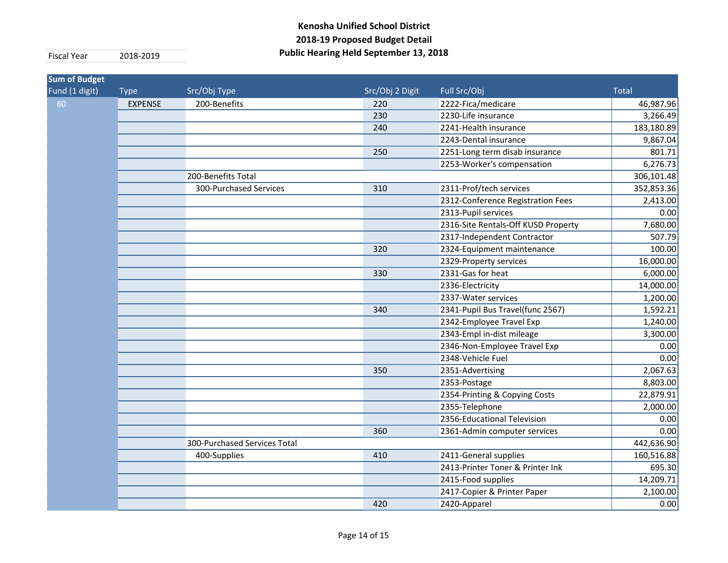| <b>Sum of Budget</b> |                    |                              |                 |                                     |              |
|----------------------|--------------------|------------------------------|-----------------|-------------------------------------|--------------|
| Fund (1 digit)       | <b>Type</b>        | Src/Obj Type                 | Src/Obj 2 Digit | Full Src/Obj                        | <b>Total</b> |
| 80                   | <b>EXPENSE</b>     | 200-Benefits                 | 220             | 2222-Fica/medicare                  | 46,987.96    |
|                      |                    |                              | 230             | 2230-Life insurance                 | 3,266.49     |
|                      |                    |                              | 240             | 2241-Health insurance               | 183,180.89   |
|                      |                    |                              |                 | 2243-Dental insurance               | 9,867.04     |
|                      |                    |                              | 250             | 2251-Long term disab insurance      | 801.71       |
|                      |                    |                              |                 | 2253-Worker's compensation          | 6,276.73     |
|                      | 200-Benefits Total |                              |                 |                                     | 306,101.48   |
|                      |                    | 300-Purchased Services       | 310             | 2311-Prof/tech services             | 352,853.36   |
|                      |                    |                              |                 | 2312-Conference Registration Fees   | 2,413.00     |
|                      |                    |                              |                 | 2313-Pupil services                 | 0.00         |
|                      |                    |                              |                 | 2316-Site Rentals-Off KUSD Property | 7,680.00     |
|                      |                    |                              |                 | 2317-Independent Contractor         | 507.79       |
|                      |                    |                              | 320             | 2324-Equipment maintenance          | 100.00       |
|                      |                    |                              |                 | 2329-Property services              | 16,000.00    |
|                      |                    |                              | 330             | 2331-Gas for heat                   | 6,000.00     |
|                      |                    |                              |                 | 2336-Electricity                    | 14,000.00    |
|                      |                    |                              |                 | 2337-Water services                 | 1,200.00     |
|                      |                    |                              | 340             | 2341-Pupil Bus Travel(func 2567)    | 1,592.21     |
|                      |                    |                              |                 | 2342-Employee Travel Exp            | 1,240.00     |
|                      |                    |                              |                 | 2343-Empl in-dist mileage           | 3,300.00     |
|                      |                    |                              |                 | 2346-Non-Employee Travel Exp        | 0.00         |
|                      |                    |                              |                 | 2348-Vehicle Fuel                   | 0.00         |
|                      |                    |                              | 350             | 2351-Advertising                    | 2,067.63     |
|                      |                    |                              |                 | 2353-Postage                        | 8,803.00     |
|                      |                    |                              |                 | 2354-Printing & Copying Costs       | 22,879.91    |
|                      |                    |                              |                 | 2355-Telephone                      | 2,000.00     |
|                      |                    |                              |                 | 2356-Educational Television         | 0.00         |
|                      |                    |                              | 360             | 2361-Admin computer services        | 0.00         |
|                      |                    | 300-Purchased Services Total |                 |                                     | 442,636.90   |
|                      |                    | 400-Supplies                 | 410             | 2411-General supplies               | 160,516.88   |
|                      |                    |                              |                 | 2413-Printer Toner & Printer Ink    | 695.30       |
|                      |                    |                              |                 | 2415-Food supplies                  | 14,209.71    |
|                      |                    |                              |                 | 2417-Copier & Printer Paper         | 2,100.00     |
|                      |                    |                              | 420             | 2420-Apparel                        | 0.00         |